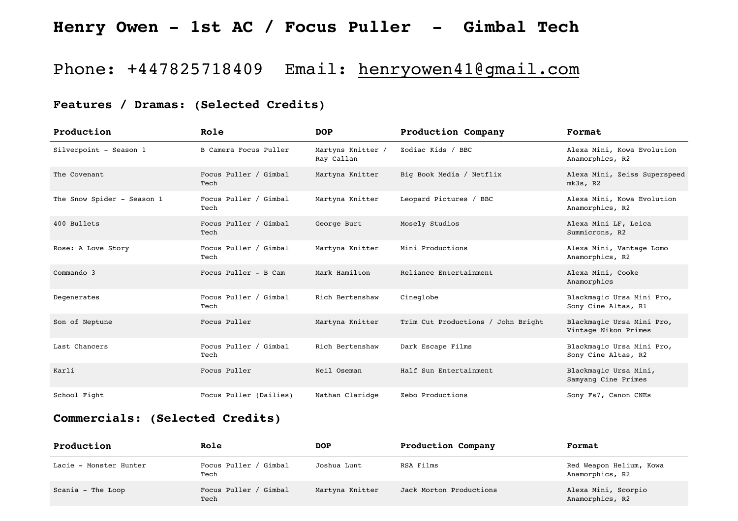## **Henry Owen - 1st AC / Focus Puller - Gimbal Tech**

# Phone: +447825718409 Email: [henryowen41@gmail.com](mailto:henryowen41@gmail.com)

#### **Features / Dramas: (Selected Credits)**

| Production                 | Role                          | <b>DOP</b>                      | Production Company                 | Format                                            |
|----------------------------|-------------------------------|---------------------------------|------------------------------------|---------------------------------------------------|
| Silverpoint - Season 1     | B Camera Focus Puller         | Martyns Knitter /<br>Ray Callan | Zodiac Kids / BBC                  | Alexa Mini, Kowa Evolution<br>Anamorphics, R2     |
| The Covenant.              | Focus Puller / Gimbal<br>Tech | Martyna Knitter                 | Big Book Media / Netflix           | Alexa Mini, Zeiss Superspeed<br>$mk3s$ , $R2$     |
| The Snow Spider - Season 1 | Focus Puller / Gimbal<br>Tech | Martyna Knitter                 | Leopard Pictures / BBC             | Alexa Mini, Kowa Evolution<br>Anamorphics, R2     |
| 400 Bullets                | Focus Puller / Gimbal<br>Tech | George Burt                     | Mosely Studios                     | Alexa Mini LF, Leica<br>Summicrons, R2            |
| Rose: A Love Story         | Focus Puller / Gimbal<br>Tech | Martyna Knitter                 | Mini Productions                   | Alexa Mini, Vantage Lomo<br>Anamorphics, R2       |
| Commando 3                 | Focus Puller - B Cam          | Mark Hamilton                   | Reliance Entertainment             | Alexa Mini, Cooke<br>Anamorphics                  |
| Degenerates                | Focus Puller / Gimbal<br>Tech | Rich Bertenshaw                 | Cineglobe                          | Blackmagic Ursa Mini Pro,<br>Sony Cine Altas, R1  |
| Son of Neptune             | Focus Puller                  | Martyna Knitter                 | Trim Cut Productions / John Bright | Blackmagic Ursa Mini Pro,<br>Vintage Nikon Primes |
| Last Chancers              | Focus Puller / Gimbal<br>Tech | Rich Bertenshaw                 | Dark Escape Films                  | Blackmagic Ursa Mini Pro,<br>Sony Cine Altas, R2  |
| Karli                      | Focus Puller                  | Neil Oseman                     | Half Sun Entertainment             | Blackmagic Ursa Mini,<br>Samyang Cine Primes      |
| School Fight               | Focus Puller (Dailies)        | Nathan Claridge                 | Zebo Productions                   | Sony Fs7, Canon CNEs                              |

### **Commercials: (Selected Credits)**

| Production             | Role                          | <b>DOP</b>      | <b>Production Company</b> | Format                                     |
|------------------------|-------------------------------|-----------------|---------------------------|--------------------------------------------|
| Lacie - Monster Hunter | Focus Puller / Gimbal<br>Tech | Joshua Lunt     | RSA Films                 | Red Weapon Helium, Kowa<br>Anamorphics, R2 |
| Scania - The Loop      | Focus Puller / Gimbal<br>Tech | Martyna Knitter | Jack Morton Productions   | Alexa Mini, Scorpio<br>Anamorphics, R2     |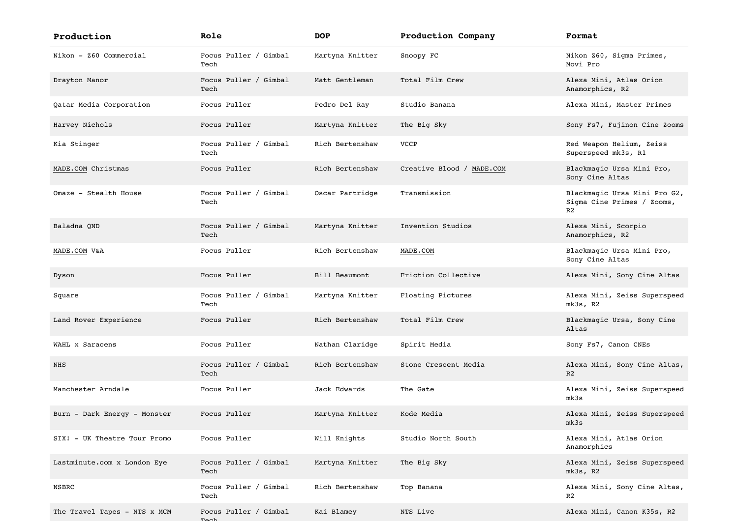| Production                   | Role                          | <b>DOP</b>      | Production Company        | Format                                                                       |
|------------------------------|-------------------------------|-----------------|---------------------------|------------------------------------------------------------------------------|
| Nikon - Z60 Commercial       | Focus Puller / Gimbal<br>Tech | Martyna Knitter | Snoopy FC                 | Nikon Z60, Sigma Primes,<br>Movi Pro                                         |
| Drayton Manor                | Focus Puller / Gimbal<br>Tech | Matt Gentleman  | Total Film Crew           | Alexa Mini, Atlas Orion<br>Anamorphics, R2                                   |
| Qatar Media Corporation      | Focus Puller                  | Pedro Del Ray   | Studio Banana             | Alexa Mini, Master Primes                                                    |
| Harvey Nichols               | Focus Puller                  | Martyna Knitter | The Big Sky               | Sony Fs7, Fujinon Cine Zooms                                                 |
| Kia Stinger                  | Focus Puller / Gimbal<br>Tech | Rich Bertenshaw | <b>VCCP</b>               | Red Weapon Helium, Zeiss<br>Superspeed mk3s, R1                              |
| MADE.COM Christmas           | Focus Puller                  | Rich Bertenshaw | Creative Blood / MADE.COM | Blackmagic Ursa Mini Pro,<br>Sony Cine Altas                                 |
| Omaze - Stealth House        | Focus Puller / Gimbal<br>Tech | Oscar Partridge | Transmission              | Blackmagic Ursa Mini Pro G2,<br>Sigma Cine Primes / Zooms,<br>R <sub>2</sub> |
| Baladna QND                  | Focus Puller / Gimbal<br>Tech | Martyna Knitter | Invention Studios         | Alexa Mini, Scorpio<br>Anamorphics, R2                                       |
| MADE.COM V&A                 | Focus Puller                  | Rich Bertenshaw | MADE.COM                  | Blackmagic Ursa Mini Pro,<br>Sony Cine Altas                                 |
| Dyson                        | Focus Puller                  | Bill Beaumont   | Friction Collective       | Alexa Mini, Sony Cine Altas                                                  |
| Square                       | Focus Puller / Gimbal<br>Tech | Martyna Knitter | Floating Pictures         | Alexa Mini, Zeiss Superspeed<br>$mk3s$ , $R2$                                |
| Land Rover Experience        | Focus Puller                  | Rich Bertenshaw | Total Film Crew           | Blackmagic Ursa, Sony Cine<br>Altas                                          |
| WAHL x Saracens              | Focus Puller                  | Nathan Claridge | Spirit Media              | Sony Fs7, Canon CNEs                                                         |
| NHS                          | Focus Puller / Gimbal<br>Tech | Rich Bertenshaw | Stone Crescent Media      | Alexa Mini, Sony Cine Altas,<br>R <sub>2</sub>                               |
| Manchester Arndale           | Focus Puller                  | Jack Edwards    | The Gate                  | Alexa Mini, Zeiss Superspeed<br>mk3s                                         |
| Burn - Dark Energy - Monster | Focus Puller                  | Martyna Knitter | Kode Media                | Alexa Mini, Zeiss Superspeed<br>mk3s                                         |
| SIX! - UK Theatre Tour Promo | Focus Puller                  | Will Knights    | Studio North South        | Alexa Mini, Atlas Orion<br>Anamorphics                                       |
| Lastminute.com x London Eye  | Focus Puller / Gimbal<br>Tech | Martyna Knitter | The Big Sky               | Alexa Mini, Zeiss Superspeed<br>$mk3s$ , $R2$                                |
| NSBRC                        | Focus Puller / Gimbal<br>Tech | Rich Bertenshaw | Top Banana                | Alexa Mini, Sony Cine Altas,<br>R2                                           |
| The Travel Tapes - NTS x MCM | Focus Puller / Gimbal         | Kai Blamey      | NTS Live                  | Alexa Mini, Canon K35s, R2                                                   |

Tech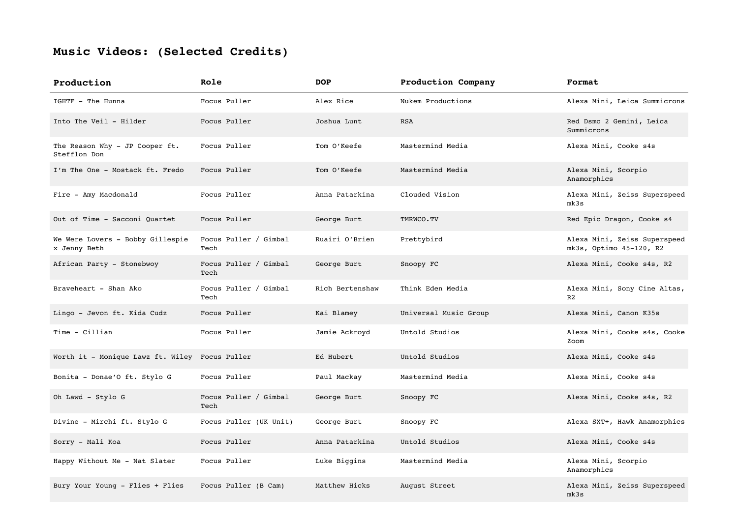### **Music Videos: (Selected Credits)**

| Production                                       | Role                          | <b>DOP</b>      | Production Company    | Format                                                  |
|--------------------------------------------------|-------------------------------|-----------------|-----------------------|---------------------------------------------------------|
| IGHTF - The Hunna                                | Focus Puller                  | Alex Rice       | Nukem Productions     | Alexa Mini, Leica Summicrons                            |
| Into The Veil - Hilder                           | Focus Puller                  | Joshua Lunt     | <b>RSA</b>            | Red Dsmc 2 Gemini, Leica<br>Summicrons                  |
| The Reason Why - JP Cooper ft.<br>Stefflon Don   | Focus Puller                  | Tom O'Keefe     | Mastermind Media      | Alexa Mini, Cooke s4s                                   |
| I'm The One - Mostack ft. Fredo                  | Focus Puller                  | Tom O'Keefe     | Mastermind Media      | Alexa Mini, Scorpio<br>Anamorphics                      |
| Fire - Amy Macdonald                             | Focus Puller                  | Anna Patarkina  | Clouded Vision        | Alexa Mini, Zeiss Superspeed<br>mk3s                    |
| Out of Time - Sacconi Quartet                    | Focus Puller                  | George Burt     | TMRWCO.TV             | Red Epic Dragon, Cooke s4                               |
| We Were Lovers - Bobby Gillespie<br>x Jenny Beth | Focus Puller / Gimbal<br>Tech | Ruairi O'Brien  | Prettybird            | Alexa Mini, Zeiss Superspeed<br>mk3s, Optimo 45-120, R2 |
| African Party - Stonebwoy                        | Focus Puller / Gimbal<br>Tech | George Burt     | Snoopy FC             | Alexa Mini, Cooke s4s, R2                               |
| Braveheart - Shan Ako                            | Focus Puller / Gimbal<br>Tech | Rich Bertenshaw | Think Eden Media      | Alexa Mini, Sony Cine Altas,<br>R <sub>2</sub>          |
| Lingo - Jevon ft. Kida Cudz                      | Focus Puller                  | Kai Blamey      | Universal Music Group | Alexa Mini, Canon K35s                                  |
| Time - Cillian                                   | Focus Puller                  | Jamie Ackroyd   | Untold Studios        | Alexa Mini, Cooke s4s, Cooke<br>Zoom                    |
| Worth it - Monique Lawz ft. Wiley Focus Puller   |                               | Ed Hubert       | Untold Studios        | Alexa Mini, Cooke s4s                                   |
| Bonita - Donae'O ft. Stylo G                     | Focus Puller                  | Paul Mackay     | Mastermind Media      | Alexa Mini, Cooke s4s                                   |
| Oh Lawd - Stylo G                                | Focus Puller / Gimbal<br>Tech | George Burt     | Snoopy FC             | Alexa Mini, Cooke s4s, R2                               |
| Divine - Mirchi ft. Stylo G                      | Focus Puller (UK Unit)        | George Burt     | Snoopy FC             | Alexa SXT+, Hawk Anamorphics                            |
| Sorry - Mali Koa                                 | Focus Puller                  | Anna Patarkina  | Untold Studios        | Alexa Mini, Cooke s4s                                   |
| Happy Without Me - Nat Slater                    | Focus Puller                  | Luke Biggins    | Mastermind Media      | Alexa Mini, Scorpio<br>Anamorphics                      |
| Bury Your Young - Flies + Flies                  | Focus Puller (B Cam)          | Matthew Hicks   | August Street         | Alexa Mini, Zeiss Superspeed<br>mk3s                    |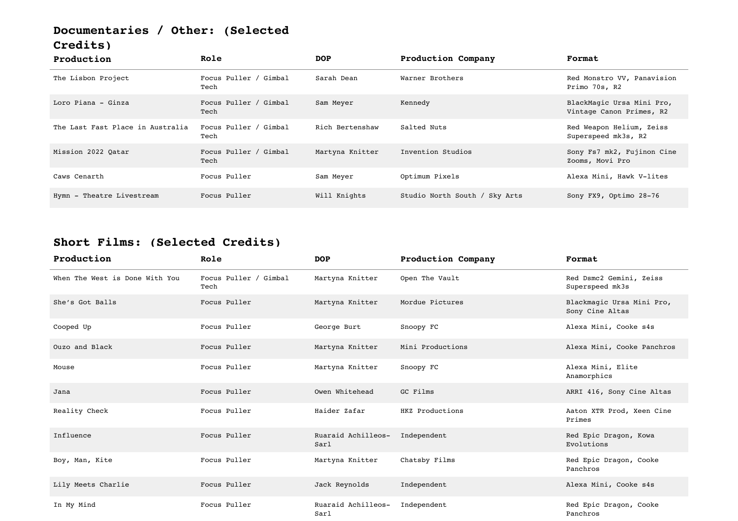### **Documentaries / Other: (Selected Credits)**

| Production                       | Role                          | <b>DOP</b>      | Production Company            | Format                                                |
|----------------------------------|-------------------------------|-----------------|-------------------------------|-------------------------------------------------------|
| The Lisbon Project               | Focus Puller / Gimbal<br>Tech | Sarah Dean      | Warner Brothers               | Red Monstro VV, Panavision<br>Primo 70s, R2           |
| Loro Piana - Ginza               | Focus Puller / Gimbal<br>Tech | Sam Meyer       | Kennedy                       | BlackMagic Ursa Mini Pro,<br>Vintage Canon Primes, R2 |
| The Last Fast Place in Australia | Focus Puller / Gimbal<br>Tech | Rich Bertenshaw | Salted Nuts                   | Red Weapon Helium, Zeiss<br>Superspeed mk3s, R2       |
| Mission 2022 Oatar               | Focus Puller / Gimbal<br>Tech | Martyna Knitter | Invention Studios             | Sony Fs7 mk2, Fujinon Cine<br>Zooms, Movi Pro         |
| Caws Cenarth                     | Focus Puller                  | Sam Meyer       | Optimum Pixels                | Alexa Mini, Hawk V-lites                              |
| Hymn - Theatre Livestream        | Focus Puller                  | Will Knights    | Studio North South / Sky Arts | Sony FX9, Optimo 28-76                                |

## **Short Films: (Selected Credits)**

| Production                     | Role                          | <b>DOP</b>                 | Production Company | Format                                       |
|--------------------------------|-------------------------------|----------------------------|--------------------|----------------------------------------------|
| When The West is Done With You | Focus Puller / Gimbal<br>Tech | Martyna Knitter            | Open The Vault     | Red Dsmc2 Gemini, Zeiss<br>Superspeed mk3s   |
| She's Got Balls                | Focus Puller                  | Martyna Knitter            | Mordue Pictures    | Blackmagic Ursa Mini Pro,<br>Sony Cine Altas |
| Cooped Up                      | Focus Puller                  | George Burt                | Snoopy FC          | Alexa Mini, Cooke s4s                        |
| Ouzo and Black                 | Focus Puller                  | Martyna Knitter            | Mini Productions   | Alexa Mini, Cooke Panchros                   |
| Mouse                          | Focus Puller                  | Martyna Knitter            | Snoopy FC          | Alexa Mini, Elite<br>Anamorphics             |
| Jana                           | Focus Puller                  | Owen Whitehead             | GC Films           | ARRI 416, Sony Cine Altas                    |
| Reality Check                  | Focus Puller                  | Haider Zafar               | HKZ Productions    | Aaton XTR Prod, Xeen Cine<br>Primes          |
| Influence                      | Focus Puller                  | Ruaraid Achilleos-<br>Sarl | Independent        | Red Epic Dragon, Kowa<br>Evolutions          |
| Boy, Man, Kite                 | Focus Puller                  | Martyna Knitter            | Chatsby Films      | Red Epic Dragon, Cooke<br>Panchros           |
| Lily Meets Charlie             | Focus Puller                  | Jack Reynolds              | Independent        | Alexa Mini, Cooke s4s                        |
| In My Mind                     | Focus Puller                  | Ruaraid Achilleos-<br>Sarl | Independent        | Red Epic Dragon, Cooke<br>Panchros           |